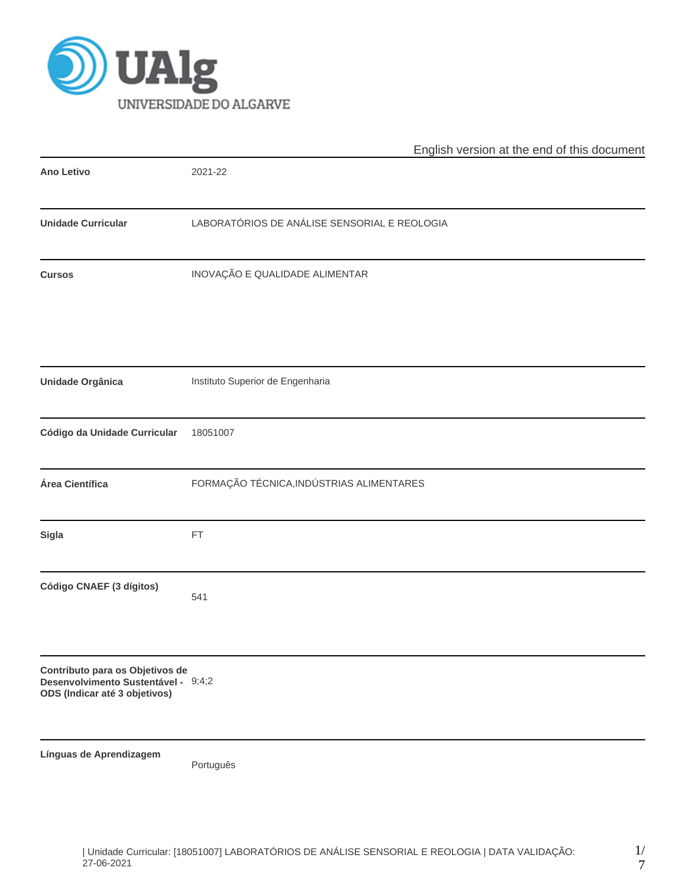

|                                                                                                         | English version at the end of this document  |  |  |  |  |  |  |
|---------------------------------------------------------------------------------------------------------|----------------------------------------------|--|--|--|--|--|--|
| <b>Ano Letivo</b>                                                                                       | 2021-22                                      |  |  |  |  |  |  |
| <b>Unidade Curricular</b>                                                                               | LABORATÓRIOS DE ANÁLISE SENSORIAL E REOLOGIA |  |  |  |  |  |  |
| <b>Cursos</b>                                                                                           | INOVAÇÃO E QUALIDADE ALIMENTAR               |  |  |  |  |  |  |
| <b>Unidade Orgânica</b>                                                                                 | Instituto Superior de Engenharia             |  |  |  |  |  |  |
| Código da Unidade Curricular                                                                            | 18051007                                     |  |  |  |  |  |  |
| Área Científica                                                                                         | FORMAÇÃO TÉCNICA, INDÚSTRIAS ALIMENTARES     |  |  |  |  |  |  |
| Sigla                                                                                                   | FT                                           |  |  |  |  |  |  |
| Código CNAEF (3 dígitos)                                                                                | 541                                          |  |  |  |  |  |  |
| Contributo para os Objetivos de<br>Desenvolvimento Sustentável - 9;4;2<br>ODS (Indicar até 3 objetivos) |                                              |  |  |  |  |  |  |
| Línguas de Aprendizagem                                                                                 | Português                                    |  |  |  |  |  |  |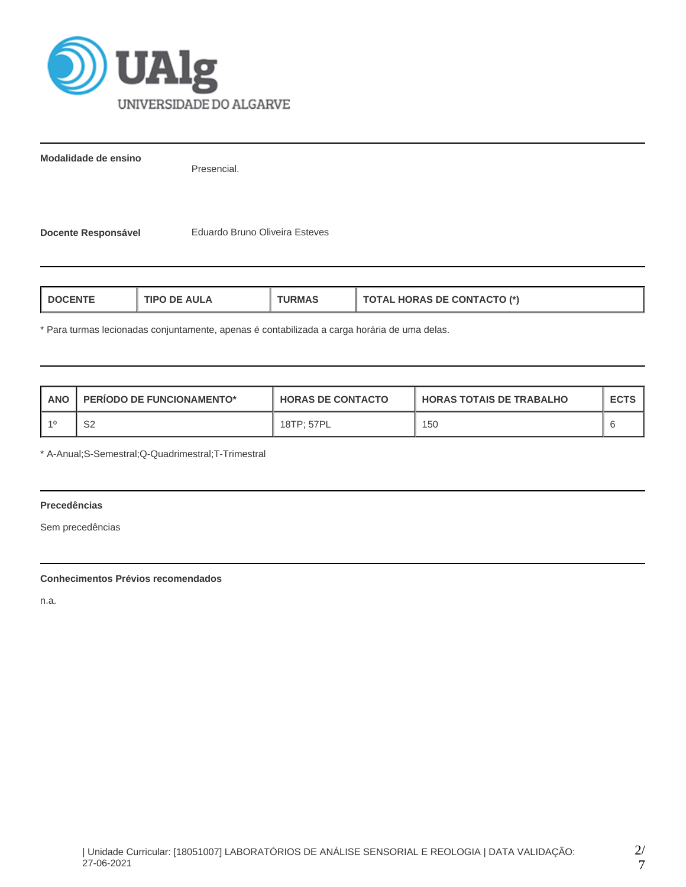

**Modalidade de ensino**

Presencial.

**Docente Responsável** Eduardo Bruno Oliveira Esteves

| <b>TOTAL HORAS DE CONTACTO (*)</b><br>TIPO DE AULA<br>L DOCENTE<br>'JRMAS |  |
|---------------------------------------------------------------------------|--|
|---------------------------------------------------------------------------|--|

\* Para turmas lecionadas conjuntamente, apenas é contabilizada a carga horária de uma delas.

| <b>ANO</b> | <b>PERIODO DE FUNCIONAMENTO*</b> | <b>HORAS DE CONTACTO</b> | I HORAS TOTAIS DE TRABALHO | <b>ECTS</b> |
|------------|----------------------------------|--------------------------|----------------------------|-------------|
|            | c٥<br>∠ت                         | 18TP: 57PL               | 150                        |             |

\* A-Anual;S-Semestral;Q-Quadrimestral;T-Trimestral

# **Precedências**

Sem precedências

# **Conhecimentos Prévios recomendados**

n.a.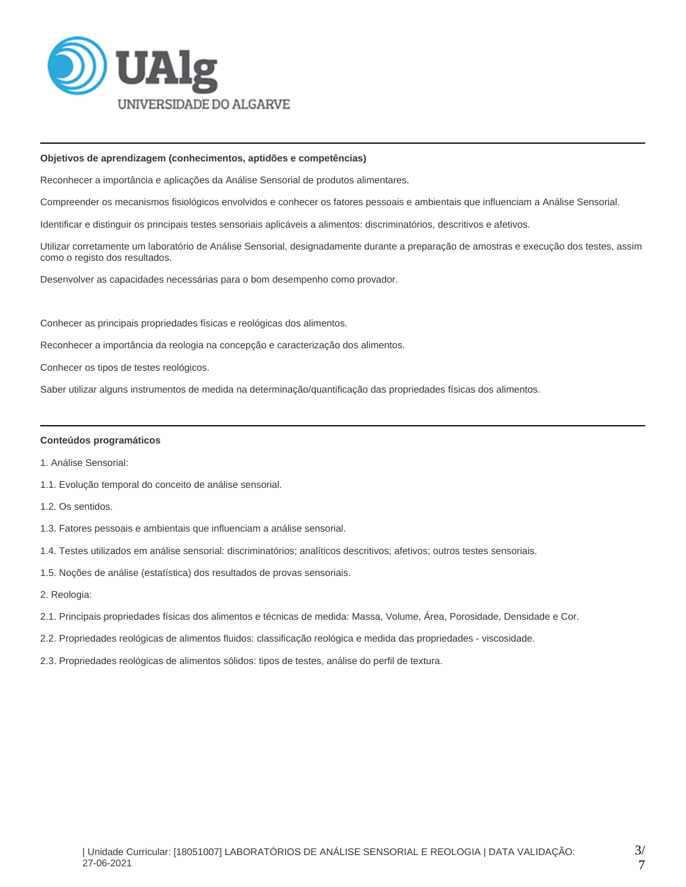

#### **Objetivos de aprendizagem (conhecimentos, aptidões e competências)**

Reconhecer a importância e aplicações da Análise Sensorial de produtos alimentares.

Compreender os mecanismos fisiológicos envolvidos e conhecer os fatores pessoais e ambientais que influenciam a Análise Sensorial.

Identificar e distinguir os principais testes sensoriais aplicáveis a alimentos: discriminatórios, descritivos e afetivos.

Utilizar corretamente um laboratório de Análise Sensorial, designadamente durante a preparação de amostras e execução dos testes, assim como o registo dos resultados.

Desenvolver as capacidades necessárias para o bom desempenho como provador.

Conhecer as principais propriedades físicas e reológicas dos alimentos.

Reconhecer a importância da reologia na concepção e caracterização dos alimentos.

Conhecer os tipos de testes reológicos.

Saber utilizar alguns instrumentos de medida na determinação/quantificação das propriedades físicas dos alimentos.

#### **Conteúdos programáticos**

- 1. Análise Sensorial:
- 1.1. Evolução temporal do conceito de análise sensorial.
- 1.2. Os sentidos.
- 1.3. Fatores pessoais e ambientais que influenciam a análise sensorial.
- 1.4. Testes utilizados em análise sensorial: discriminatórios; analíticos descritivos; afetivos; outros testes sensoriais.
- 1.5. Noções de análise (estatística) dos resultados de provas sensoriais.
- 2. Reologia:
- 2.1. Principais propriedades físicas dos alimentos e técnicas de medida: Massa, Volume, Área, Porosidade, Densidade e Cor.
- 2.2. Propriedades reológicas de alimentos fluidos: classificação reológica e medida das propriedades viscosidade.
- 2.3. Propriedades reológicas de alimentos sólidos: tipos de testes, análise do perfil de textura.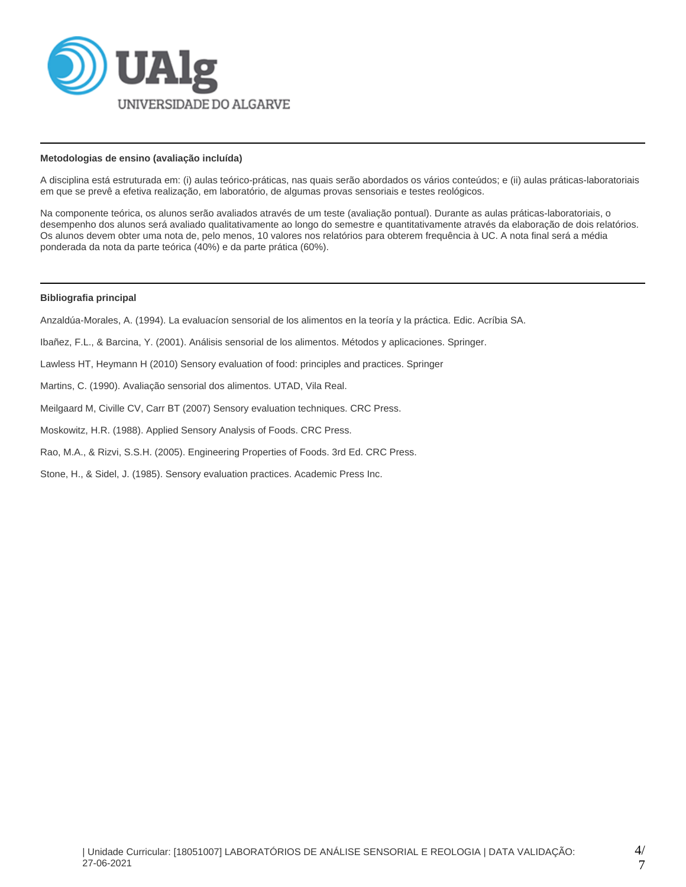

## **Metodologias de ensino (avaliação incluída)**

A disciplina está estruturada em: (i) aulas teórico-práticas, nas quais serão abordados os vários conteúdos; e (ii) aulas práticas-laboratoriais em que se prevê a efetiva realização, em laboratório, de algumas provas sensoriais e testes reológicos.

Na componente teórica, os alunos serão avaliados através de um teste (avaliação pontual). Durante as aulas práticas-laboratoriais, o desempenho dos alunos será avaliado qualitativamente ao longo do semestre e quantitativamente através da elaboração de dois relatórios. Os alunos devem obter uma nota de, pelo menos, 10 valores nos relatórios para obterem frequência à UC. A nota final será a média ponderada da nota da parte teórica (40%) e da parte prática (60%).

# **Bibliografia principal**

Anzaldúa-Morales, A. (1994). La evaluacíon sensorial de los alimentos en la teoría y la práctica. Edic. Acríbia SA.

Ibañez, F.L., & Barcina, Y. (2001). Análisis sensorial de los alimentos. Métodos y aplicaciones. Springer.

Lawless HT, Heymann H (2010) Sensory evaluation of food: principles and practices. Springer

Martins, C. (1990). Avaliação sensorial dos alimentos. UTAD, Vila Real.

Meilgaard M, Civille CV, Carr BT (2007) Sensory evaluation techniques. CRC Press.

Moskowitz, H.R. (1988). Applied Sensory Analysis of Foods. CRC Press.

Rao, M.A., & Rizvi, S.S.H. (2005). Engineering Properties of Foods. 3rd Ed. CRC Press.

Stone, H., & Sidel, J. (1985). Sensory evaluation practices. Academic Press Inc.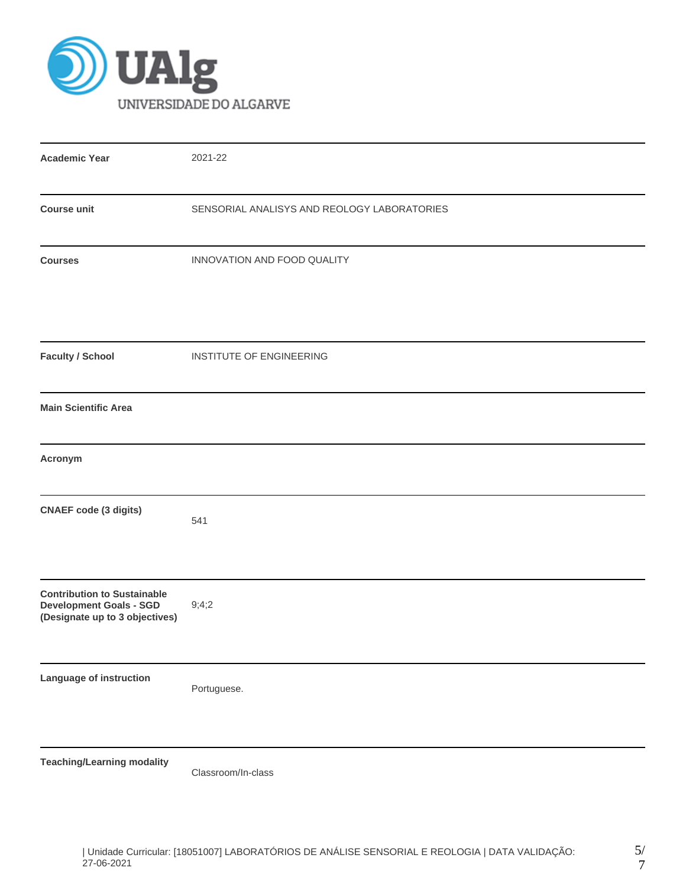

| <b>Academic Year</b>                                                                                   | 2021-22                                     |
|--------------------------------------------------------------------------------------------------------|---------------------------------------------|
| <b>Course unit</b>                                                                                     | SENSORIAL ANALISYS AND REOLOGY LABORATORIES |
| <b>Courses</b>                                                                                         | INNOVATION AND FOOD QUALITY                 |
| <b>Faculty / School</b>                                                                                | INSTITUTE OF ENGINEERING                    |
| <b>Main Scientific Area</b>                                                                            |                                             |
| Acronym                                                                                                |                                             |
| <b>CNAEF</b> code (3 digits)                                                                           | 541                                         |
| <b>Contribution to Sustainable</b><br><b>Development Goals - SGD</b><br>(Designate up to 3 objectives) | 9;4;2                                       |
| Language of instruction                                                                                | Portuguese.                                 |
| <b>Teaching/Learning modality</b>                                                                      | Classroom/In-class                          |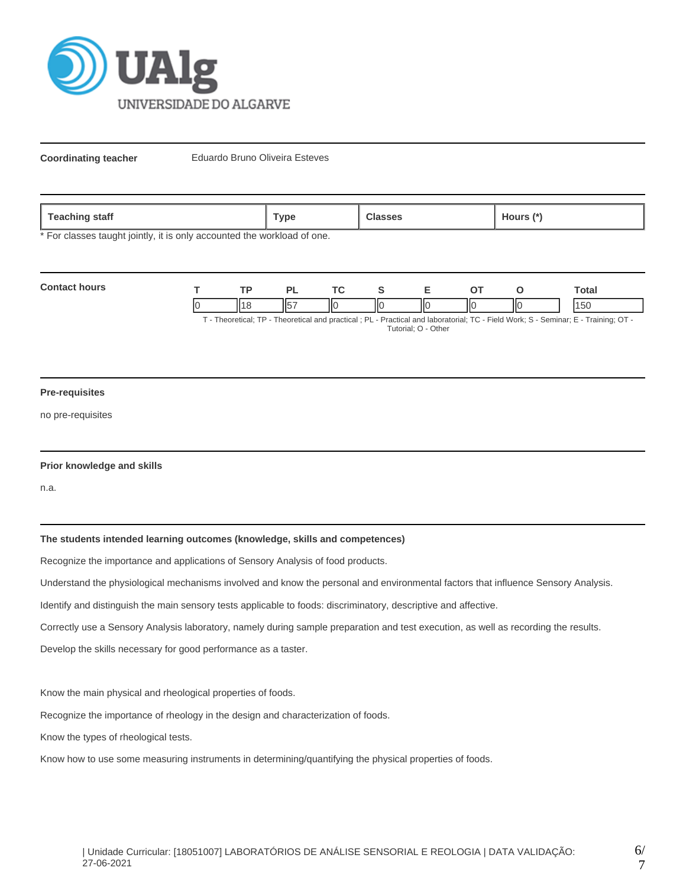

**Coordinating teacher** Eduardo Bruno Oliveira Esteves

| <b>Teaching</b><br>staff | <b>Гуре</b> | ours (*`<br>$\sim$ |
|--------------------------|-------------|--------------------|
|                          |             |                    |

\* For classes taught jointly, it is only accounted the workload of one.

| <b>Contact hours</b>                                                                                                  |  |  |  |    |    |    | ⊺otal |
|-----------------------------------------------------------------------------------------------------------------------|--|--|--|----|----|----|-------|
|                                                                                                                       |  |  |  | IЮ | ШC | IЮ | 150   |
| Theoretical: TD Theoretical and proctical : DI Dractical and Inhoratorial: TC Eiald Wark: S. Sominar: E. Training: OT |  |  |  |    |    |    |       |

- Theoretical and practical ; PL - Practical and laboratorial; TC - Field Work; S - Seminar; E - Training; OT Tutorial; O - Other

#### **Pre-requisites**

no pre-requisites

### **Prior knowledge and skills**

n.a.

# **The students intended learning outcomes (knowledge, skills and competences)**

Recognize the importance and applications of Sensory Analysis of food products.

Understand the physiological mechanisms involved and know the personal and environmental factors that influence Sensory Analysis.

Identify and distinguish the main sensory tests applicable to foods: discriminatory, descriptive and affective.

Correctly use a Sensory Analysis laboratory, namely during sample preparation and test execution, as well as recording the results.

Develop the skills necessary for good performance as a taster.

Know the main physical and rheological properties of foods.

Recognize the importance of rheology in the design and characterization of foods.

Know the types of rheological tests.

Know how to use some measuring instruments in determining/quantifying the physical properties of foods.